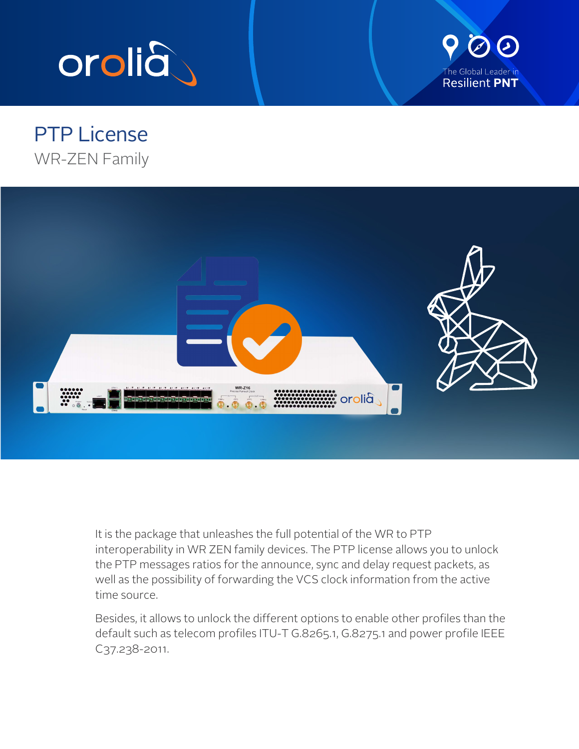



## PTP License WR-ZEN Family



It is the package that unleashes the full potential of the WR to PTP interoperability in WR ZEN family devices. The PTP license allows you to unlock the PTP messages ratios for the announce, sync and delay request packets, as well as the possibility of forwarding the VCS clock information from the active time source.

Besides, it allows to unlock the different options to enable other profiles than the default such as telecom profiles ITU-T G.8265.1, G.8275.1 and power profile IEEE C37.238-2011.